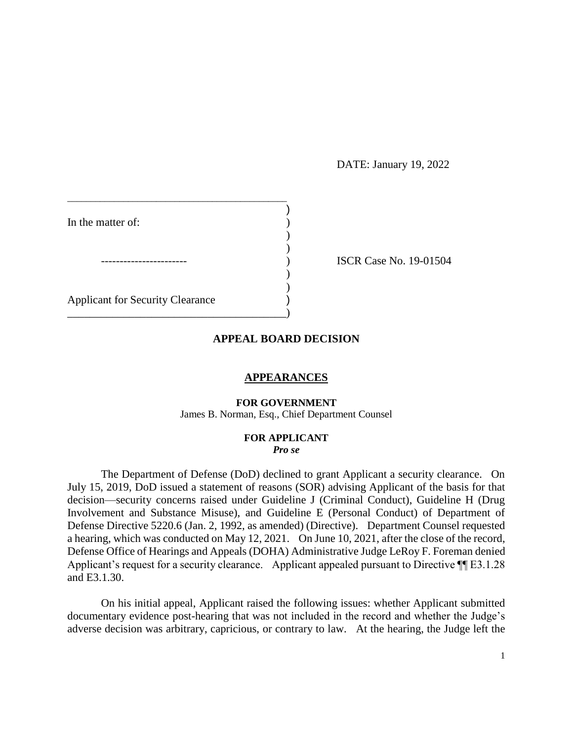## DATE: January 19, 2022

| In the matter of:                       |  |
|-----------------------------------------|--|
|                                         |  |
|                                         |  |
|                                         |  |
|                                         |  |
| <b>Applicant for Security Clearance</b> |  |
|                                         |  |

ISCR Case No. 19-01504

## **APPEAL BOARD DECISION**

### **APPEARANCES**

#### **FOR GOVERNMENT**

James B. Norman, Esq., Chief Department Counsel

### **FOR APPLICANT**  *Pro se*

 The Department of Defense (DoD) declined to grant Applicant a security clearance. On July 15, 2019, DoD issued a statement of reasons (SOR) advising Applicant of the basis for that decision—security concerns raised under Guideline J (Criminal Conduct), Guideline H (Drug Involvement and Substance Misuse), and Guideline E (Personal Conduct) of Department of Defense Directive 5220.6 (Jan. 2, 1992, as amended) (Directive). Department Counsel requested a hearing, which was conducted on May 12, 2021. On June 10, 2021, after the close of the record, Defense Office of Hearings and Appeals (DOHA) Administrative Judge LeRoy F. Foreman denied Applicant's request for a security clearance. Applicant appealed pursuant to Directive  $\P$ [E3.1.28 and E3.1.30.

 documentary evidence post-hearing that was not included in the record and whether the Judge's adverse decision was arbitrary, capricious, or contrary to law. At the hearing, the Judge left the On his initial appeal, Applicant raised the following issues: whether Applicant submitted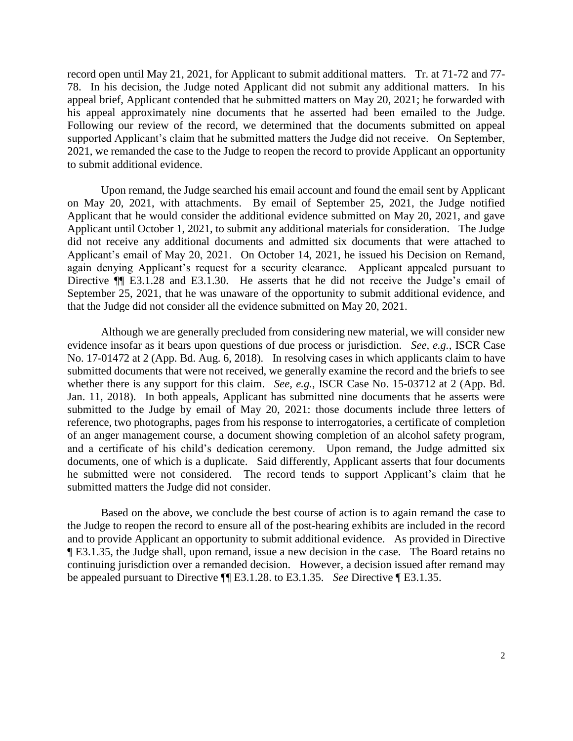78. In his decision, the Judge noted Applicant did not submit any additional matters. In his appeal brief, Applicant contended that he submitted matters on May 20, 2021; he forwarded with his appeal approximately nine documents that he asserted had been emailed to the Judge. Following our review of the record, we determined that the documents submitted on appeal 2021, we remanded the case to the Judge to reopen the record to provide Applicant an opportunity record open until May 21, 2021, for Applicant to submit additional matters. Tr. at 71-72 and 77 supported Applicant's claim that he submitted matters the Judge did not receive. On September, to submit additional evidence.

 Upon remand, the Judge searched his email account and found the email sent by Applicant on May 20, 2021, with attachments. By email of September 25, 2021, the Judge notified Applicant until October 1, 2021, to submit any additional materials for consideration. The Judge Applicant's email of May 20, 2021. On October 14, 2021, he issued his Decision on Remand, again denying Applicant's request for a security clearance. Applicant appealed pursuant to Directive ¶¶ E3.1.28 and E3.1.30. He asserts that he did not receive the Judge's email of September 25, 2021, that he was unaware of the opportunity to submit additional evidence, and Applicant that he would consider the additional evidence submitted on May 20, 2021, and gave did not receive any additional documents and admitted six documents that were attached to that the Judge did not consider all the evidence submitted on May 20, 2021.

 Although we are generally precluded from considering new material, we will consider new evidence insofar as it bears upon questions of due process or jurisdiction. *See, e.g.*, ISCR Case submitted documents that were not received, we generally examine the record and the briefs to see whether there is any support for this claim. *See, e.g.*, ISCR Case No. 15-03712 at 2 (App. Bd. submitted to the Judge by email of May 20, 2021: those documents include three letters of reference, two photographs, pages from his response to interrogatories, a certificate of completion of an anger management course, a document showing completion of an alcohol safety program, and a certificate of his child's dedication ceremony. Upon remand, the Judge admitted six documents, one of which is a duplicate. Said differently, Applicant asserts that four documents he submitted were not considered. The record tends to support Applicant's claim that he No. 17-01472 at 2 (App. Bd. Aug. 6, 2018). In resolving cases in which applicants claim to have Jan. 11, 2018). In both appeals, Applicant has submitted nine documents that he asserts were submitted matters the Judge did not consider.

 the Judge to reopen the record to ensure all of the post-hearing exhibits are included in the record and to provide Applicant an opportunity to submit additional evidence. As provided in Directive ¶ E3.1.35, the Judge shall, upon remand, issue a new decision in the case. The Board retains no continuing jurisdiction over a remanded decision. However, a decision issued after remand may Based on the above, we conclude the best course of action is to again remand the case to be appealed pursuant to Directive ¶¶ E3.1.28. to E3.1.35. *See* Directive ¶ E3.1.35.